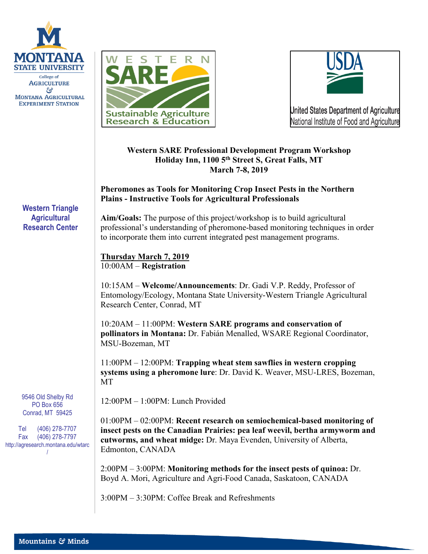





## **Western SARE Professional Development Program Workshop Holiday Inn, 1100 5th Street S, Great Falls, MT March 7-8, 2019**

## **Pheromones as Tools for Monitoring Crop Insect Pests in the Northern Plains - Instructive Tools for Agricultural Professionals**

**Aim/Goals:** The purpose of this project/workshop is to build agricultural professional's understanding of pheromone-based monitoring techniques in order to incorporate them into current integrated pest management programs.

**Thursday March 7, 2019** 10:00AM – **Registration**

10:15AM – **Welcome/Announcements**: Dr. Gadi V.P. Reddy, Professor of Entomology/Ecology, Montana State University-Western Triangle Agricultural Research Center, Conrad, MT

10:20AM – 11:00PM: **Western SARE programs and conservation of pollinators in Montana:** Dr. Fabián Menalled, WSARE Regional Coordinator, MSU-Bozeman, MT

11:00PM – 12:00PM: **Trapping wheat stem sawflies in western cropping systems using a pheromone lure**: Dr. David K. Weaver, MSU-LRES, Bozeman, MT

12:00PM – 1:00PM: Lunch Provided

01:00PM – 02:00PM: **Recent research on semiochemical-based monitoring of insect pests on the Canadian Prairies: pea leaf weevil, bertha armyworm and cutworms, and wheat midge:** Dr. Maya Evenden, University of Alberta, Edmonton, CANADA

2:00PM – 3:00PM: **Monitoring methods for the insect pests of quinoa:** Dr. Boyd A. Mori, Agriculture and Agri-Food Canada, Saskatoon, CANADA

3:00PM – 3:30PM: Coffee Break and Refreshments

**Western Triangle Agricultural Research Center**

9546 Old Shelby Rd PO Box 656 Conrad, MT 59425

Tel (406) 278-7707 Fax (406) 278-7797 http://agresearch.montana.edu/wtarc /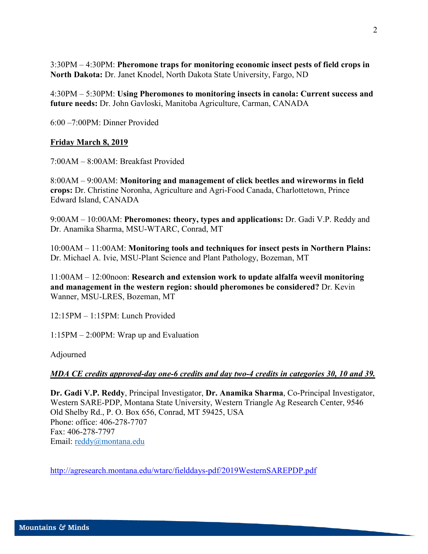3:30PM – 4:30PM: **Pheromone traps for monitoring economic insect pests of field crops in North Dakota:** Dr. Janet Knodel, North Dakota State University, Fargo, ND

4:30PM – 5:30PM: **Using Pheromones to monitoring insects in canola: Current success and future needs:** Dr. John Gavloski, Manitoba Agriculture, Carman, CANADA

6:00 –7:00PM: Dinner Provided

### **Friday March 8, 2019**

7:00AM – 8:00AM: Breakfast Provided

8:00AM – 9:00AM: **Monitoring and management of click beetles and wireworms in field crops:** Dr. Christine Noronha, Agriculture and Agri-Food Canada, Charlottetown, Prince Edward Island, CANADA

9:00AM – 10:00AM: **Pheromones: theory, types and applications:** Dr. Gadi V.P. Reddy and Dr. Anamika Sharma, MSU-WTARC, Conrad, MT

10:00AM – 11:00AM: **Monitoring tools and techniques for insect pests in Northern Plains:** Dr. Michael A. Ivie, MSU-Plant Science and Plant Pathology, Bozeman, MT

11:00AM – 12:00noon: **Research and extension work to update alfalfa weevil monitoring and management in the western region: should pheromones be considered?** Dr. Kevin Wanner, MSU-LRES, Bozeman, MT

12:15PM – 1:15PM: Lunch Provided

1:15PM – 2:00PM: Wrap up and Evaluation

Adjourned

### *MDA CE credits approved-day one-6 credits and day two-4 credits in categories 30, 10 and 39.*

**Dr. Gadi V.P. Reddy**, Principal Investigator, **Dr. Anamika Sharma**, Co-Principal Investigator, Western SARE-PDP, Montana State University, Western Triangle Ag Research Center, 9546 Old Shelby Rd., P. O. Box 656, Conrad, MT 59425, USA Phone: office: 406-278-7707 Fax: 406-278-7797 Email: [reddy@montana.edu](mailto:reddy@montana.edu)

<http://agresearch.montana.edu/wtarc/fielddays-pdf/2019WesternSAREPDP.pdf>